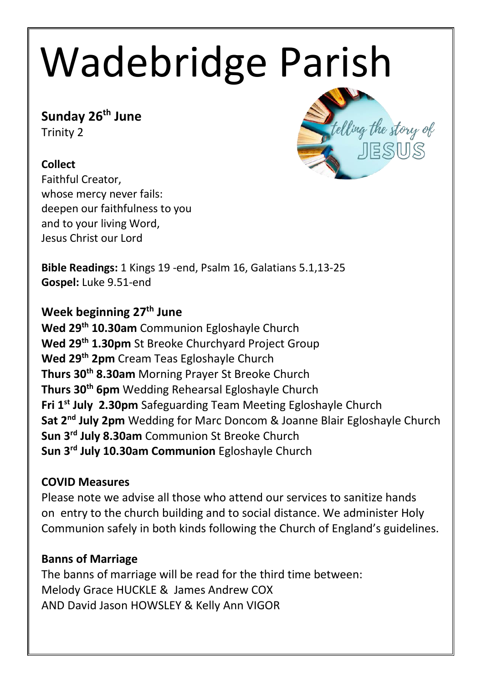# Wadebridge Parish

# **Sunday 26th June**

Trinity 2

### **Collect**

Faithful Creator, whose mercy never fails: deepen our faithfulness to you and to your living Word, Jesus Christ our Lord



**Bible Readings:** 1 Kings 19 -end, Psalm 16, Galatians 5.1,13-25 **Gospel:** Luke 9.51-end

## **Week beginning 27 th June**

**Wed 29th 10.30am** Communion Egloshayle Church **Wed 29th 1.30pm** St Breoke Churchyard Project Group **Wed 29th 2pm** Cream Teas Egloshayle Church **Thurs 30th 8.30am** Morning Prayer St Breoke Church **Thurs 30th 6pm** Wedding Rehearsal Egloshayle Church **Fri 1 st July 2.30pm** Safeguarding Team Meeting Egloshayle Church **Sat 2 nd July 2pm** Wedding for Marc Doncom & Joanne Blair Egloshayle Church **Sun 3 rd July 8.30am** Communion St Breoke Church **Sun 3 rd July 10.30am Communion** Egloshayle Church

#### **COVID Measures**

Please note we advise all those who attend our services to sanitize hands on entry to the church building and to social distance. We administer Holy Communion safely in both kinds following the Church of England's guidelines.

#### **Banns of Marriage**

The banns of marriage will be read for the third time between: Melody Grace HUCKLE & James Andrew COX AND David Jason HOWSLEY & Kelly Ann VIGOR